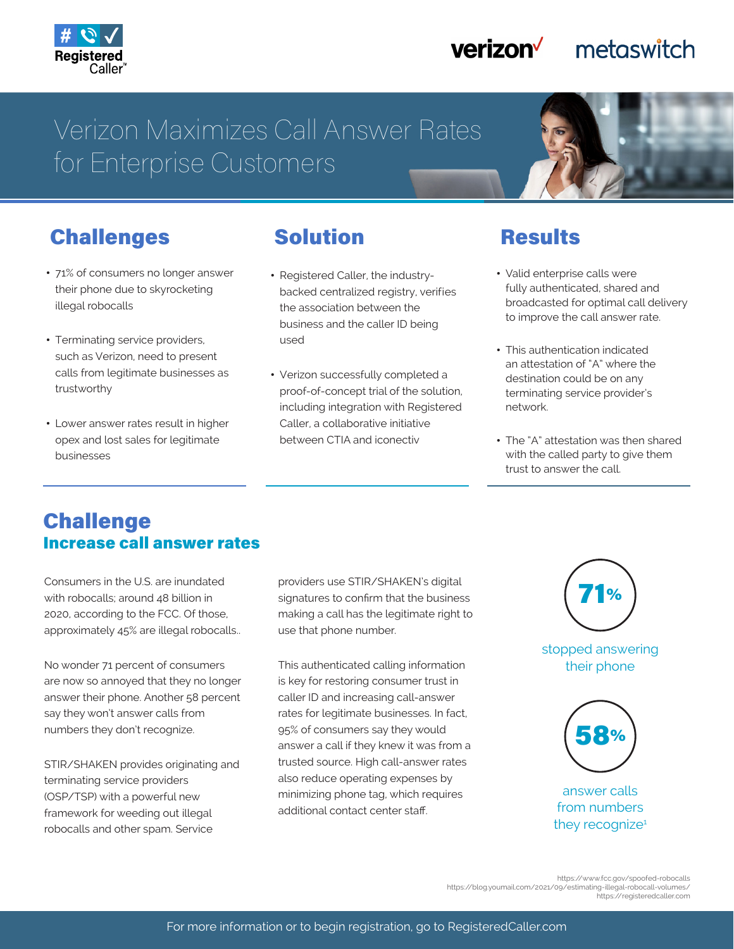

#### verizon<sup>V</sup> metaswitch

# Verizon Maximizes Call Answer Rates for Enterprise Customers

## Challenges

- 71% of consumers no longer answer their phone due to skyrocketing illegal robocalls
- Terminating service providers, such as Verizon, need to present calls from legitimate businesses as trustworthy
- Lower answer rates result in higher opex and lost sales for legitimate businesses

### Solution

- Registered Caller, the industrybacked centralized registry, verifies the association between the business and the caller ID being used
- Verizon successfully completed a proof-of-concept trial of the solution, including integration with Registered Caller, a collaborative initiative between CTIA and iconectiv

#### **Results**

- Valid enterprise calls were fully authenticated, shared and broadcasted for optimal call delivery to improve the call answer rate.
- This authentication indicated an attestation of "A" where the destination could be on any terminating service provider's network.
- The "A" attestation was then shared with the called party to give them trust to answer the call.

#### Challenge Increase call answer rates

Consumers in the U.S. are inundated with robocalls; around 48 billion in 2020, according to the FCC. Of those, approximately 45% are illegal robocalls..

No wonder 71 percent of consumers are now so annoyed that they no longer answer their phone. Another 58 percent say they won't answer calls from numbers they don't recognize.

STIR/SHAKEN provides originating and terminating service providers (OSP/TSP) with a powerful new framework for weeding out illegal robocalls and other spam. Service

providers use STIR/SHAKEN's digital signatures to confirm that the business making a call has the legitimate right to use that phone number.

This authenticated calling information is key for restoring consumer trust in caller ID and increasing call-answer rates for legitimate businesses. In fact, 95% of consumers say they would answer a call if they knew it was from a trusted source. High call-answer rates also reduce operating expenses by minimizing phone tag, which requires additional contact center staff.



stopped answering their phone



answer calls from numbers they recognize<sup>1</sup>

https://www.fcc.gov/spoofed-robocalls<br>https://blog.youmail.com/2021/09/estimating-illegal-robocall-volumes/<br>https://registeredcaller.com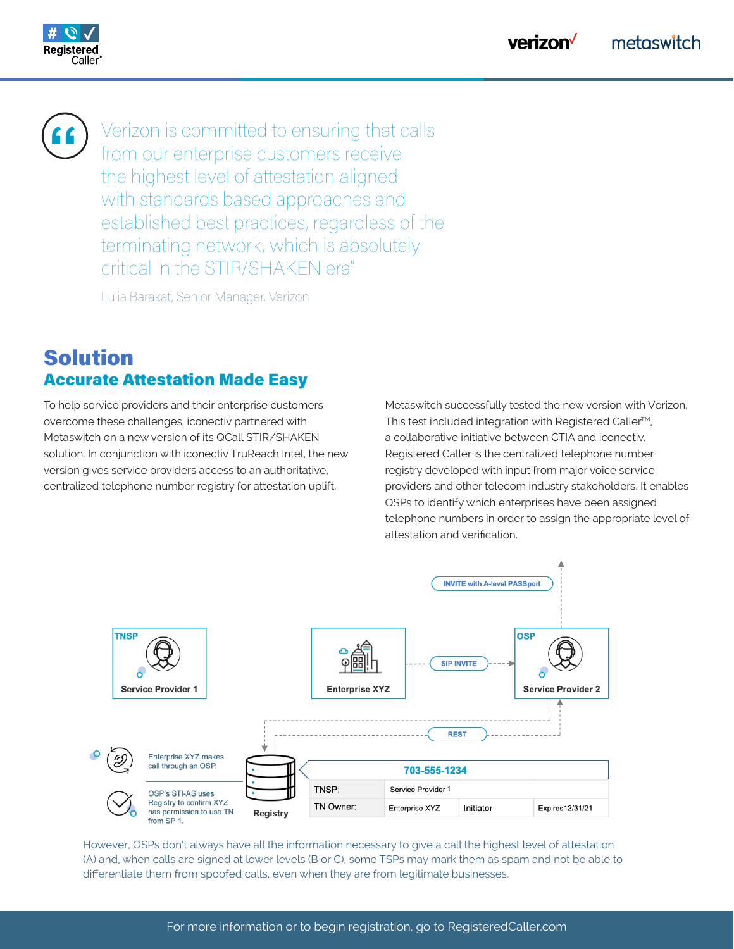

**"**

Verizon is committed to ensuring that calls from our enterprise customers receive the highest level of attestation aligned with standards based approaches and established best practices, regardless of the terminating network, which is absolutely critical in the STIR/SHAKEN era"

Lulia Barakat, Senior Manager, Verizon

#### Solution Accurate Attestation Made Easy

To help service providers and their enterprise customers overcome these challenges, iconectiv partnered with Metaswitch on a new version of its QCall STIR/SHAKEN solution. In conjunction with iconectiv TruReach Intel, the new version gives service providers access to an authoritative, centralized telephone number registry for attestation uplift.

Metaswitch successfully tested the new version with Verizon. This test included integration with Registered Caller<sup>™</sup>, a collaborative initiative between CTIA and iconectiv. Registered Caller is the centralized telephone number registry developed with input from major voice service providers and other telecom industry stakeholders. It enables OSPs to identify which enterprises have been assigned telephone numbers in order to assign the appropriate level of attestation and verification.



However, OSPs don't always have all the information necessary to give a call the highest level of attestation (A) and, when calls are signed at lower levels (B or C), some TSPs may mark them as spam and not be able to differentiate them from spoofed calls, even when they are from legitimate businesses.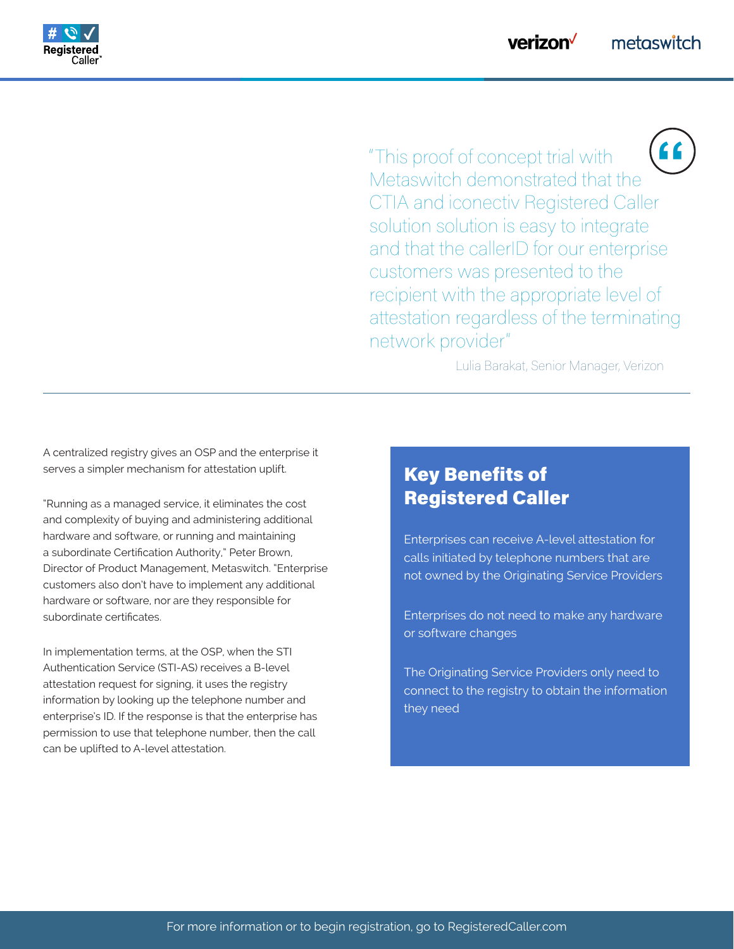

"This proof of concept trial with Metaswitch demonstrated that the CTIA and iconectiv Registered Caller solution solution is easy to integrate and that the callerID for our enterprise customers was presented to the recipient with the appropriate level of attestation regardless of the terminating network provider" **"**

Lulia Barakat, Senior Manager, Verizon

A centralized registry gives an OSP and the enterprise it serves a simpler mechanism for attestation uplift.

"Running as a managed service, it eliminates the cost and complexity of buying and administering additional hardware and software, or running and maintaining a subordinate Certification Authority," Peter Brown, Director of Product Management, Metaswitch. "Enterprise customers also don't have to implement any additional hardware or software, nor are they responsible for subordinate certificates.

In implementation terms, at the OSP, when the STI Authentication Service (STI-AS) receives a B-level attestation request for signing, it uses the registry information by looking up the telephone number and enterprise's ID. If the response is that the enterprise has permission to use that telephone number, then the call can be uplifted to A-level attestation.

#### Key Benefits of Registered Caller

Enterprises can receive A-level attestation for calls initiated by telephone numbers that are not owned by the Originating Service Providers

Enterprises do not need to make any hardware or software changes

The Originating Service Providers only need to connect to the registry to obtain the information they need